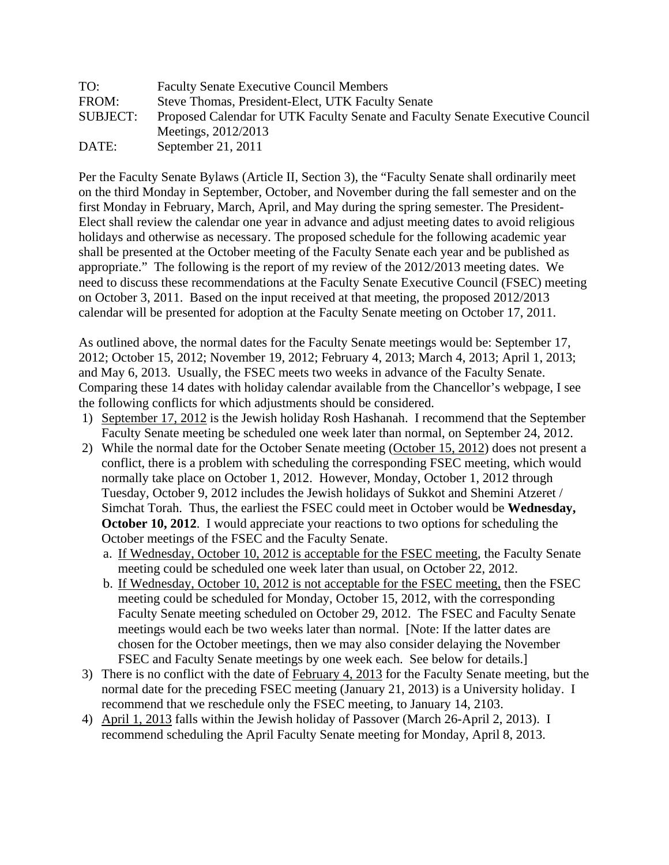| TO:             | <b>Faculty Senate Executive Council Members</b>                               |
|-----------------|-------------------------------------------------------------------------------|
| FROM:           | Steve Thomas, President-Elect, UTK Faculty Senate                             |
| <b>SUBJECT:</b> | Proposed Calendar for UTK Faculty Senate and Faculty Senate Executive Council |
|                 | Meetings, 2012/2013                                                           |
| DATE:           | September 21, 2011                                                            |

Per the Faculty Senate Bylaws (Article II, Section 3), the "Faculty Senate shall ordinarily meet on the third Monday in September, October, and November during the fall semester and on the first Monday in February, March, April, and May during the spring semester. The President-Elect shall review the calendar one year in advance and adjust meeting dates to avoid religious holidays and otherwise as necessary. The proposed schedule for the following academic year shall be presented at the October meeting of the Faculty Senate each year and be published as appropriate." The following is the report of my review of the 2012/2013 meeting dates. We need to discuss these recommendations at the Faculty Senate Executive Council (FSEC) meeting on October 3, 2011. Based on the input received at that meeting, the proposed 2012/2013 calendar will be presented for adoption at the Faculty Senate meeting on October 17, 2011.

As outlined above, the normal dates for the Faculty Senate meetings would be: September 17, 2012; October 15, 2012; November 19, 2012; February 4, 2013; March 4, 2013; April 1, 2013; and May 6, 2013. Usually, the FSEC meets two weeks in advance of the Faculty Senate. Comparing these 14 dates with holiday calendar available from the Chancellor's webpage, I see the following conflicts for which adjustments should be considered.

- 1) September 17, 2012 is the Jewish holiday Rosh Hashanah. I recommend that the September Faculty Senate meeting be scheduled one week later than normal, on September 24, 2012.
- 2) While the normal date for the October Senate meeting (October 15, 2012) does not present a conflict, there is a problem with scheduling the corresponding FSEC meeting, which would normally take place on October 1, 2012. However, Monday, October 1, 2012 through Tuesday, October 9, 2012 includes the Jewish holidays of Sukkot and Shemini Atzeret / Simchat Torah. Thus, the earliest the FSEC could meet in October would be **Wednesday, October 10, 2012.** I would appreciate your reactions to two options for scheduling the October meetings of the FSEC and the Faculty Senate.
	- a. If Wednesday, October 10, 2012 is acceptable for the FSEC meeting, the Faculty Senate meeting could be scheduled one week later than usual, on October 22, 2012.
	- b. If Wednesday, October 10, 2012 is not acceptable for the FSEC meeting, then the FSEC meeting could be scheduled for Monday, October 15, 2012, with the corresponding Faculty Senate meeting scheduled on October 29, 2012. The FSEC and Faculty Senate meetings would each be two weeks later than normal. [Note: If the latter dates are chosen for the October meetings, then we may also consider delaying the November FSEC and Faculty Senate meetings by one week each. See below for details.]
- 3) There is no conflict with the date of February 4, 2013 for the Faculty Senate meeting, but the normal date for the preceding FSEC meeting (January 21, 2013) is a University holiday. I recommend that we reschedule only the FSEC meeting, to January 14, 2103.
- 4) April 1, 2013 falls within the Jewish holiday of Passover (March 26-April 2, 2013). I recommend scheduling the April Faculty Senate meeting for Monday, April 8, 2013.